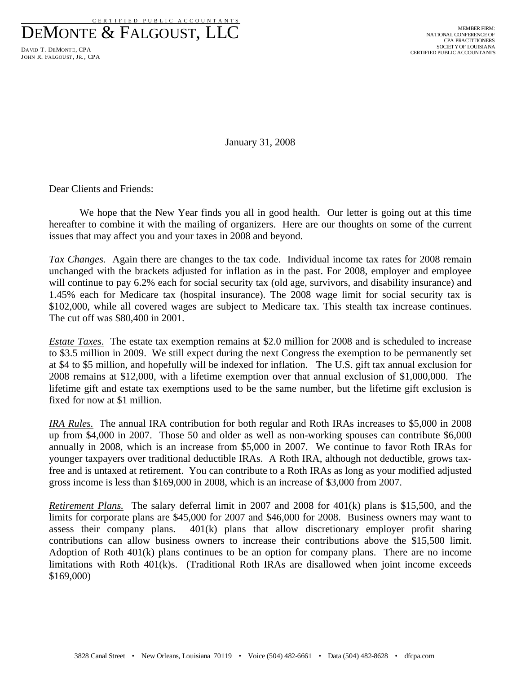DEMONTE & FALGOUST, LLC

DAVID T. DEMONTE, CPA JOHN R. FALGOUST, JR., CPA

January 31, 2008

Dear Clients and Friends:

We hope that the New Year finds you all in good health. Our letter is going out at this time hereafter to combine it with the mailing of organizers. Here are our thoughts on some of the current issues that may affect you and your taxes in 2008 and beyond.

*Tax Changes.* Again there are changes to the tax code. Individual income tax rates for 2008 remain unchanged with the brackets adjusted for inflation as in the past. For 2008, employer and employee will continue to pay 6.2% each for social security tax (old age, survivors, and disability insurance) and 1.45% each for Medicare tax (hospital insurance). The 2008 wage limit for social security tax is \$102,000, while all covered wages are subject to Medicare tax. This stealth tax increase continues. The cut off was \$80,400 in 2001.

*Estate Taxes*. The estate tax exemption remains at \$2.0 million for 2008 and is scheduled to increase to \$3.5 million in 2009. We still expect during the next Congress the exemption to be permanently set at \$4 to \$5 million, and hopefully will be indexed for inflation. The U.S. gift tax annual exclusion for 2008 remains at \$12,000, with a lifetime exemption over that annual exclusion of \$1,000,000. The lifetime gift and estate tax exemptions used to be the same number, but the lifetime gift exclusion is fixed for now at \$1 million.

*IRA Rules.* The annual IRA contribution for both regular and Roth IRAs increases to \$5,000 in 2008 up from \$4,000 in 2007. Those 50 and older as well as non-working spouses can contribute \$6,000 annually in 2008, which is an increase from \$5,000 in 2007. We continue to favor Roth IRAs for younger taxpayers over traditional deductible IRAs. A Roth IRA, although not deductible, grows taxfree and is untaxed at retirement. You can contribute to a Roth IRAs as long as your modified adjusted gross income is less than \$169,000 in 2008, which is an increase of \$3,000 from 2007.

*Retirement Plans.* The salary deferral limit in 2007 and 2008 for 401(k) plans is \$15,500, and the limits for corporate plans are \$45,000 for 2007 and \$46,000 for 2008. Business owners may want to assess their company plans. 401(k) plans that allow discretionary employer profit sharing contributions can allow business owners to increase their contributions above the \$15,500 limit. Adoption of Roth 401(k) plans continues to be an option for company plans. There are no income limitations with Roth 401(k)s. (Traditional Roth IRAs are disallowed when joint income exceeds \$169,000)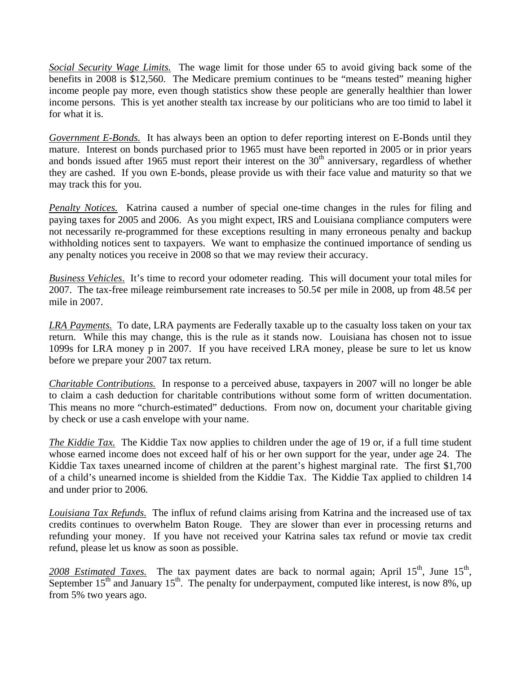*Social Security Wage Limits.* The wage limit for those under 65 to avoid giving back some of the benefits in 2008 is \$12,560. The Medicare premium continues to be "means tested" meaning higher income people pay more, even though statistics show these people are generally healthier than lower income persons. This is yet another stealth tax increase by our politicians who are too timid to label it for what it is.

*Government E-Bonds.* It has always been an option to defer reporting interest on E-Bonds until they mature. Interest on bonds purchased prior to 1965 must have been reported in 2005 or in prior years and bonds issued after 1965 must report their interest on the  $30<sup>th</sup>$  anniversary, regardless of whether they are cashed. If you own E-bonds, please provide us with their face value and maturity so that we may track this for you.

*Penalty Notices.* Katrina caused a number of special one-time changes in the rules for filing and paying taxes for 2005 and 2006. As you might expect, IRS and Louisiana compliance computers were not necessarily re-programmed for these exceptions resulting in many erroneous penalty and backup withholding notices sent to taxpayers. We want to emphasize the continued importance of sending us any penalty notices you receive in 2008 so that we may review their accuracy.

*Business Vehicles*. It's time to record your odometer reading. This will document your total miles for 2007. The tax-free mileage reimbursement rate increases to 50.5¢ per mile in 2008, up from 48.5¢ per mile in 2007.

*LRA Payments.* To date, LRA payments are Federally taxable up to the casualty loss taken on your tax return. While this may change, this is the rule as it stands now. Louisiana has chosen not to issue 1099s for LRA money p in 2007. If you have received LRA money, please be sure to let us know before we prepare your 2007 tax return.

*Charitable Contributions.* In response to a perceived abuse, taxpayers in 2007 will no longer be able to claim a cash deduction for charitable contributions without some form of written documentation. This means no more "church-estimated" deductions. From now on, document your charitable giving by check or use a cash envelope with your name.

*The Kiddie Tax.* The Kiddie Tax now applies to children under the age of 19 or, if a full time student whose earned income does not exceed half of his or her own support for the year, under age 24. The Kiddie Tax taxes unearned income of children at the parent's highest marginal rate. The first \$1,700 of a child's unearned income is shielded from the Kiddie Tax. The Kiddie Tax applied to children 14 and under prior to 2006.

*Louisiana Tax Refunds.* The influx of refund claims arising from Katrina and the increased use of tax credits continues to overwhelm Baton Rouge. They are slower than ever in processing returns and refunding your money. If you have not received your Katrina sales tax refund or movie tax credit refund, please let us know as soon as possible.

2008 *Estimated Taxes*. The tax payment dates are back to normal again; April  $15<sup>th</sup>$ , June  $15<sup>th</sup>$ , September  $15<sup>th</sup>$  and January  $15<sup>th</sup>$ . The penalty for underpayment, computed like interest, is now 8%, up from 5% two years ago.